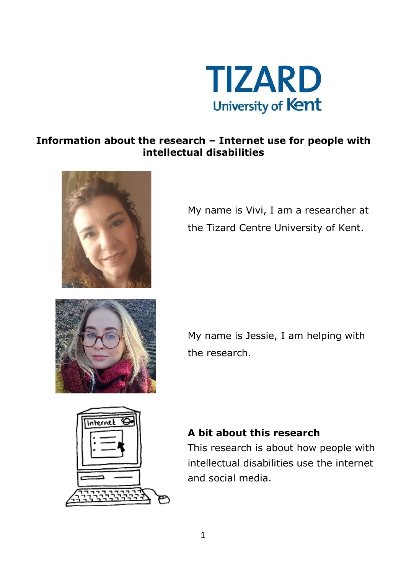

#### **Information about the research – Internet use for people with intellectual disabilities**



My name is Vivi, I am a researcher at the Tizard Centre University of Kent.



My name is Jessie, I am helping with the research.



#### **A bit about this research**

This research is about how people with intellectual disabilities use the internet and social media.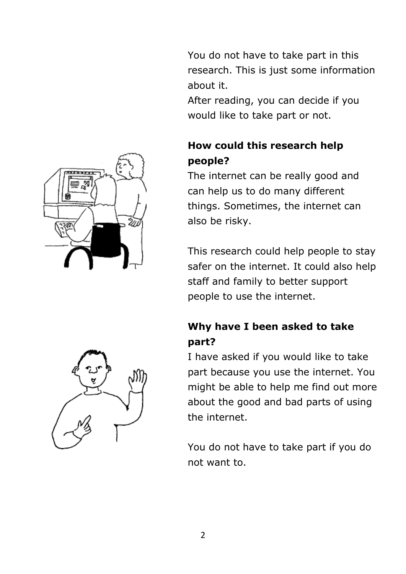You do not have to take part in this research. This is just some information about it.

After reading, you can decide if you would like to take part or not.

# **How could this research help people?**

The internet can be really good and can help us to do many different things. Sometimes, the internet can also be risky.

This research could help people to stay safer on the internet. It could also help staff and family to better support people to use the internet.

# **Why have I been asked to take part?**

I have asked if you would like to take part because you use the internet. You might be able to help me find out more about the good and bad parts of using the internet.

You do not have to take part if you do not want to.



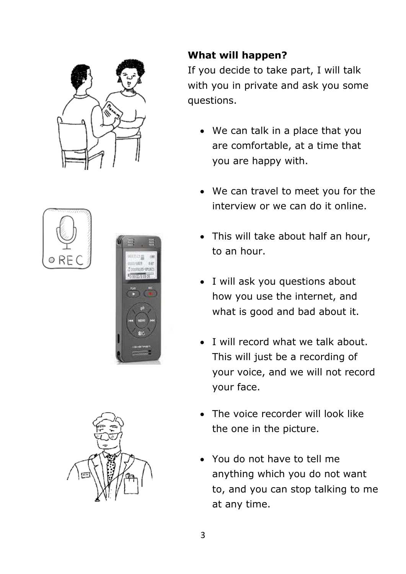







# **What will happen?**

If you decide to take part, I will talk with you in private and ask you some questions.

- We can talk in a place that you are comfortable, at a time that you are happy with.
- We can travel to meet you for the interview or we can do it online.
- This will take about half an hour, to an hour.
- I will ask you questions about how you use the internet, and what is good and bad about it.
- I will record what we talk about. This will just be a recording of your voice, and we will not record your face.
- The voice recorder will look like the one in the picture.
- You do not have to tell me anything which you do not want to, and you can stop talking to me at any time.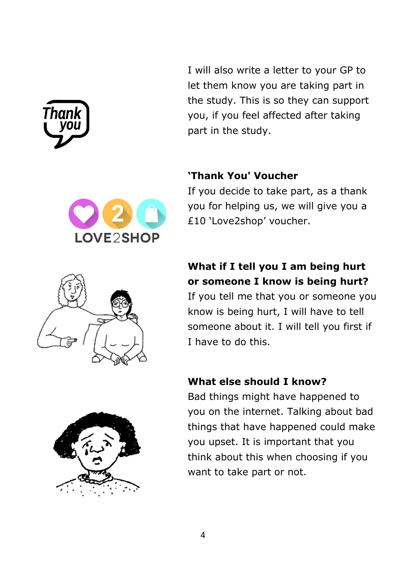

I will also write a letter to your GP to let them know you are taking part in the study. This is so they can support you, if you feel affected after taking part in the study.

#### **'Thank You' Voucher**



If you decide to take part, as a thank you for helping us, we will give you a £10 'Love2shop' voucher.

# **What if I tell you I am being hurt or someone I know is being hurt?**

If you tell me that you or someone you know is being hurt, I will have to tell someone about it. I will tell you first if I have to do this.

#### **What else should I know?**

Bad things might have happened to you on the internet. Talking about bad things that have happened could make you upset. It is important that you think about this when choosing if you want to take part or not.

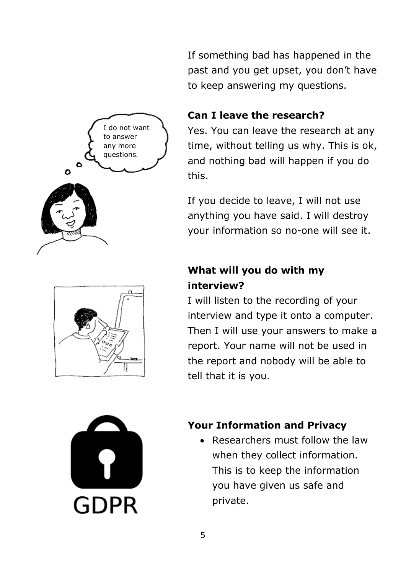I do not want to answer any more questions.O





If something bad has happened in the past and you get upset, you don't have to keep answering my questions.

#### **Can I leave the research?**

Yes. You can leave the research at any time, without telling us why. This is ok, and nothing bad will happen if you do this.

If you decide to leave, I will not use anything you have said. I will destroy your information so no-one will see it.

# **What will you do with my interview?**

I will listen to the recording of your interview and type it onto a computer. Then I will use your answers to make a report. Your name will not be used in the report and nobody will be able to tell that it is you.

# **Your Information and Privacy**

• Researchers must follow the law when they collect information. This is to keep the information you have given us safe and private.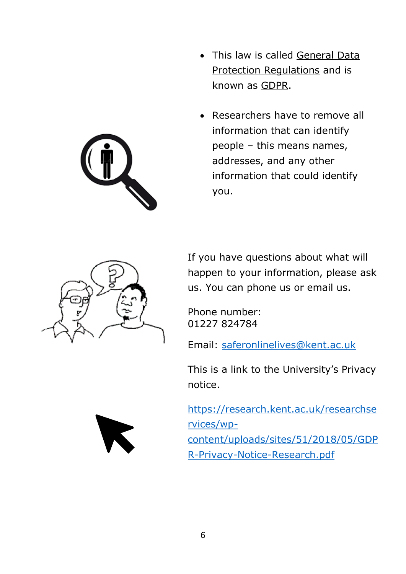- 
- This law is called General Data Protection Regulations and is known as GDPR.
- Researchers have to remove all information that can identify people – this means names, addresses, and any other information that could identify you.



If you have questions about what will happen to your information, please ask us. You can phone us or email us.

Phone number: 01227 824784

Email: [saferonlinelives@kent.ac.uk](mailto:saferonlinelives@kent.ac.uk)

This is a link to the University's Privacy notice.

[https://research.kent.ac.uk/researchse](https://research.kent.ac.uk/researchservices/wp-content/uploads/sites/51/2018/05/GDPR-Privacy-Notice-Research.pdf) [rvices/wp](https://research.kent.ac.uk/researchservices/wp-content/uploads/sites/51/2018/05/GDPR-Privacy-Notice-Research.pdf)[content/uploads/sites/51/2018/05/GDP](https://research.kent.ac.uk/researchservices/wp-content/uploads/sites/51/2018/05/GDPR-Privacy-Notice-Research.pdf) [R-Privacy-Notice-Research.pdf](https://research.kent.ac.uk/researchservices/wp-content/uploads/sites/51/2018/05/GDPR-Privacy-Notice-Research.pdf)

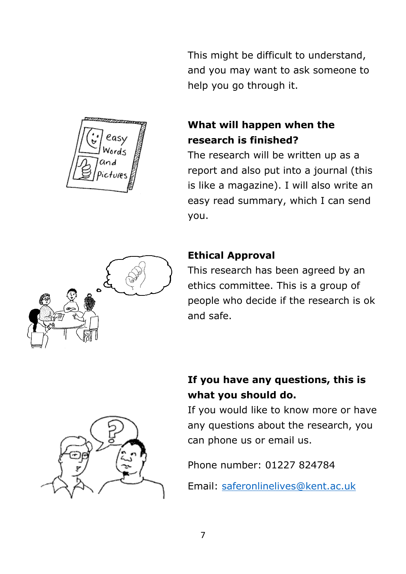This might be difficult to understand, and you may want to ask someone to help you go through it.



#### **What will happen when the research is finished?**

The research will be written up as a report and also put into a journal (this is like a magazine). I will also write an easy read summary, which I can send you.



# **Ethical Approval**

This research has been agreed by an ethics committee. This is a group of people who decide if the research is ok and safe.

# **If you have any questions, this is what you should do.**

If you would like to know more or have any questions about the research, you can phone us or email us.

Phone number: 01227 824784

Email: [saferonlinelives@kent.ac.uk](mailto:saferonlinelives@kent.ac.uk)

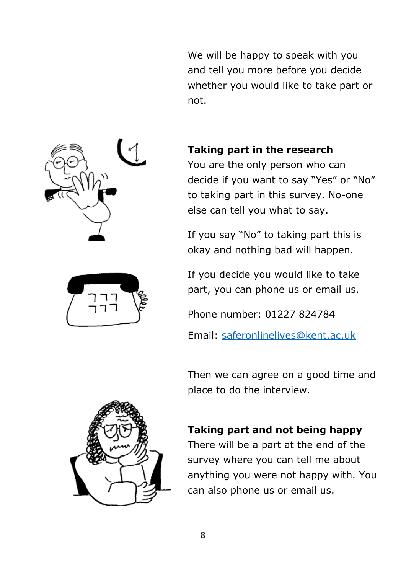We will be happy to speak with you and tell you more before you decide whether you would like to take part or not.





#### **Taking part in the research**

You are the only person who can decide if you want to say "Yes" or "No" to taking part in this survey. No-one else can tell you what to say.

If you say "No" to taking part this is okay and nothing bad will happen.

If you decide you would like to take part, you can phone us or email us.

Phone number: 01227 824784

Email: [saferonlinelives@kent.ac.uk](mailto:saferonlinelives@kent.ac.uk)

Then we can agree on a good time and place to do the interview.

#### **Taking part and not being happy**

There will be a part at the end of the survey where you can tell me about anything you were not happy with. You can also phone us or email us.